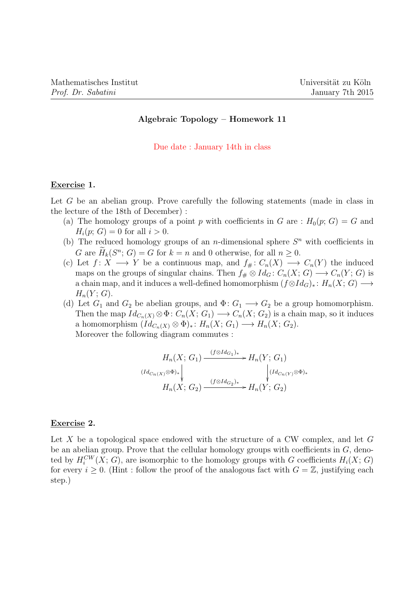# Algebraic Topology – Homework 11

Due date : January 14th in class

## Exercise 1.

Let G be an abelian group. Prove carefully the following statements (made in class in the lecture of the 18th of December) :

- (a) The homology groups of a point p with coefficients in G are :  $H_0(p; G) = G$  and  $H_i(p; G) = 0$  for all  $i > 0$ .
- (b) The reduced homology groups of an *n*-dimensional sphere  $S<sup>n</sup>$  with coefficients in G are  $H_k(S^n; G) = G$  for  $k = n$  and 0 otherwise, for all  $n \geq 0$ .
- (c) Let  $f: X \longrightarrow Y$  be a continuous map, and  $f_{\#}: C_n(X) \longrightarrow C_n(Y)$  the induced maps on the groups of singular chains. Then  $f_{\#} \otimes Id_G : C_n(X; G) \longrightarrow C_n(Y; G)$  is a chain map, and it induces a well-defined homomorphism  $(f \otimes Id_G)_* : H_n(X; G) \longrightarrow$  $H_n(Y; G)$ .
- (d) Let  $G_1$  and  $G_2$  be abelian groups, and  $\Phi: G_1 \longrightarrow G_2$  be a group homomorphism. Then the map  $Id_{C_n(X)} \otimes \Phi: C_n(X; G_1) \longrightarrow C_n(X; G_2)$  is a chain map, so it induces a homomorphism  $(Id_{C_n(X)} \otimes \Phi)_*: H_n(X; G_1) \longrightarrow H_n(X; G_2).$ Moreover the following diagram commutes :

$$
H_n(X; G_1) \xrightarrow{(f \otimes Id_{G_1})_*} H_n(Y; G_1)
$$
  
\n
$$
(Id_{C_n(X)} \otimes \Phi)_* \downarrow \qquad \qquad \downarrow (Id_{C_n(Y)} \otimes \Phi)_*
$$
  
\n
$$
H_n(X; G_2) \xrightarrow{(f \otimes Id_{G_2})_*} H_n(Y; G_2)
$$

#### Exercise 2.

Let X be a topological space endowed with the structure of a CW complex, and let  $G$ be an abelian group. Prove that the cellular homology groups with coefficients in  $G$ , denoted by  $H_i^{CW}(X; G)$ , are isomorphic to the homology groups with G coefficients  $H_i(X; G)$ for every  $i \geq 0$ . (Hint: follow the proof of the analogous fact with  $G = \mathbb{Z}$ , justifying each step.)